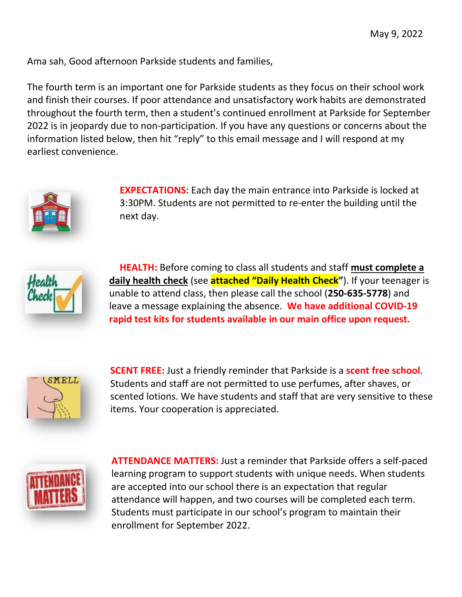Ama sah, Good afternoon Parkside students and families,

The fourth term is an important one for Parkside students as they focus on their school work and finish their courses. If poor attendance and unsatisfactory work habits are demonstrated throughout the fourth term, then a student's continued enrollment at Parkside for September 2022 is in jeopardy due to non-participation. If you have any questions or concerns about the information listed below, then hit "reply" to this email message and I will respond at my earliest convenience.



**EXPECTATIONS:** Each day the main entrance into Parkside is locked at 3:30PM. Students are not permitted to re-enter the building until the next day.



**HEALTH:** Before coming to class all students and staff **must complete a daily health check** (see **attached "Daily Health Check"**). If your teenager is unable to attend class, then please call the school (**250-635-5778**) and leave a message explaining the absence. **We have additional COVID-19 rapid test kits for students available in our main office upon request.**



**SCENT FREE:** Just a friendly reminder that Parkside is a **scent free school**. Students and staff are not permitted to use perfumes, after shaves, or scented lotions. We have students and staff that are very sensitive to these items. Your cooperation is appreciated.



**ATTENDANCE MATTERS:** Just a reminder that Parkside offers a self-paced learning program to support students with unique needs. When students are accepted into our school there is an expectation that regular attendance will happen, and two courses will be completed each term. Students must participate in our school's program to maintain their enrollment for September 2022.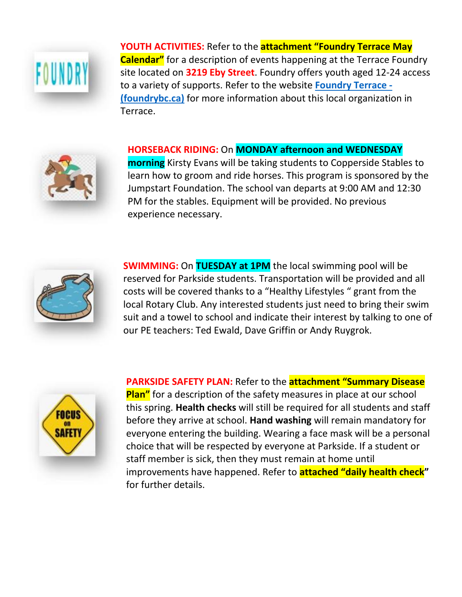

**YOUTH ACTIVITIES:** Refer to the **attachment "Foundry Terrace May Calendar"** for a description of events happening at the Terrace Foundry site located on **3219 Eby Street**. Foundry offers youth aged 12-24 access to a variety of supports. Refer to the website **[Foundry Terrace -](https://foundrybc.ca/terrace/) [\(foundrybc.ca\)](https://foundrybc.ca/terrace/)** for more information about this local organization in Terrace.



## **HORSEBACK RIDING:** On **MONDAY afternoon and WEDNESDAY**

**morning** Kirsty Evans will be taking students to Copperside Stables to learn how to groom and ride horses. This program is sponsored by the Jumpstart Foundation. The school van departs at 9:00 AM and 12:30 PM for the stables. Equipment will be provided. No previous experience necessary.



**SWIMMING:** On **TUESDAY at 1PM** the local swimming pool will be reserved for Parkside students. Transportation will be provided and all costs will be covered thanks to a "Healthy Lifestyles " grant from the local Rotary Club. Any interested students just need to bring their swim suit and a towel to school and indicate their interest by talking to one of our PE teachers: Ted Ewald, Dave Griffin or Andy Ruygrok.



**PARKSIDE SAFETY PLAN:** Refer to the **attachment "Summary Disease Plan"** for a description of the safety measures in place at our school this spring. **Health checks** will still be required for all students and staff before they arrive at school. **Hand washing** will remain mandatory for everyone entering the building. Wearing a face mask will be a personal choice that will be respected by everyone at Parkside. If a student or staff member is sick, then they must remain at home until improvements have happened. Refer to **attached "daily health check"** for further details.